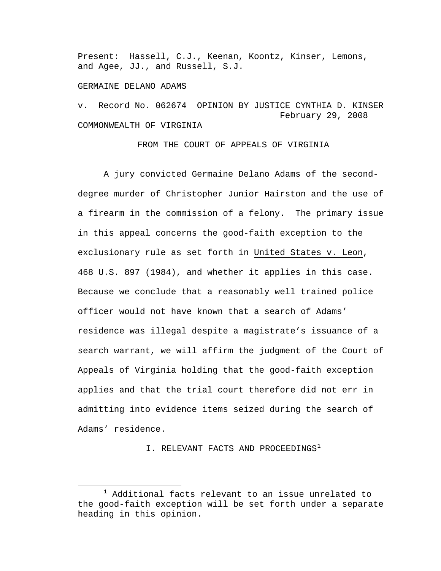Present: Hassell, C.J., Keenan, Koontz, Kinser, Lemons, and Agee, JJ., and Russell, S.J.

#### GERMAINE DELANO ADAMS

v. Record No. 062674 OPINION BY JUSTICE CYNTHIA D. KINSER February 29, 2008 COMMONWEALTH OF VIRGINIA

FROM THE COURT OF APPEALS OF VIRGINIA

A jury convicted Germaine Delano Adams of the seconddegree murder of Christopher Junior Hairston and the use of a firearm in the commission of a felony. The primary issue in this appeal concerns the good-faith exception to the exclusionary rule as set forth in United States v. Leon, 468 U.S. 897 (1984), and whether it applies in this case. Because we conclude that a reasonably well trained police officer would not have known that a search of Adams' residence was illegal despite a magistrate's issuance of a search warrant, we will affirm the judgment of the Court of Appeals of Virginia holding that the good-faith exception applies and that the trial court therefore did not err in admitting into evidence items seized during the search of Adams' residence.

I. RELEVANT FACTS AND PROCEEDINGS<sup>[1](#page-0-0)</sup>

<span id="page-0-0"></span><sup>&</sup>lt;u>1</u>  $^1$  Additional facts relevant to an issue unrelated to the good-faith exception will be set forth under a separate heading in this opinion.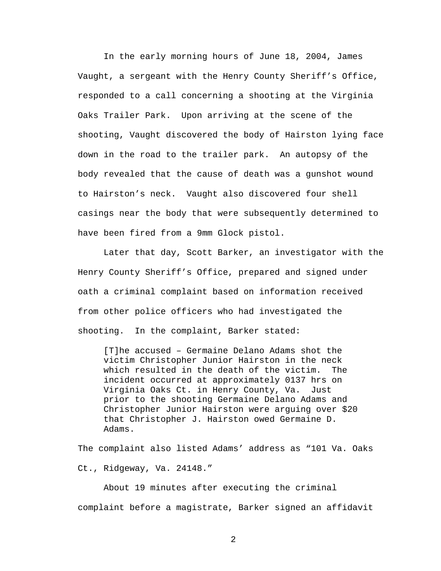In the early morning hours of June 18, 2004, James Vaught, a sergeant with the Henry County Sheriff's Office, responded to a call concerning a shooting at the Virginia Oaks Trailer Park. Upon arriving at the scene of the shooting, Vaught discovered the body of Hairston lying face down in the road to the trailer park. An autopsy of the body revealed that the cause of death was a gunshot wound to Hairston's neck. Vaught also discovered four shell casings near the body that were subsequently determined to have been fired from a 9mm Glock pistol.

Later that day, Scott Barker, an investigator with the Henry County Sheriff's Office, prepared and signed under oath a criminal complaint based on information received from other police officers who had investigated the shooting. In the complaint, Barker stated:

[T]he accused – Germaine Delano Adams shot the victim Christopher Junior Hairston in the neck which resulted in the death of the victim. The incident occurred at approximately 0137 hrs on Virginia Oaks Ct. in Henry County, Va. Just prior to the shooting Germaine Delano Adams and Christopher Junior Hairston were arguing over \$20 that Christopher J. Hairston owed Germaine D. Adams.

The complaint also listed Adams' address as "101 Va. Oaks Ct., Ridgeway, Va. 24148."

About 19 minutes after executing the criminal complaint before a magistrate, Barker signed an affidavit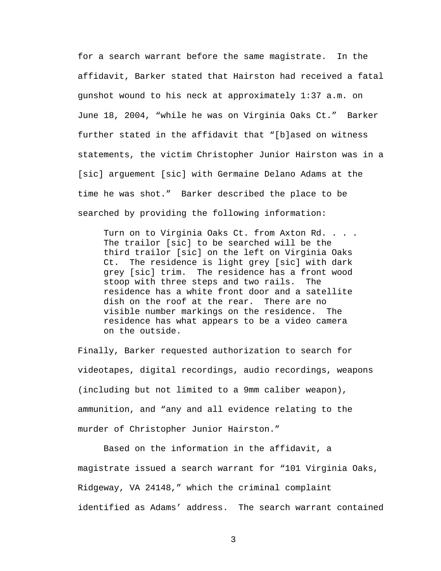for a search warrant before the same magistrate. In the affidavit, Barker stated that Hairston had received a fatal gunshot wound to his neck at approximately 1:37 a.m. on June 18, 2004, "while he was on Virginia Oaks Ct." Barker further stated in the affidavit that "[b]ased on witness statements, the victim Christopher Junior Hairston was in a [sic] arguement [sic] with Germaine Delano Adams at the time he was shot." Barker described the place to be searched by providing the following information:

Turn on to Virginia Oaks Ct. from Axton Rd. . . . The trailor [sic] to be searched will be the third trailor [sic] on the left on Virginia Oaks Ct. The residence is light grey [sic] with dark grey [sic] trim. The residence has a front wood stoop with three steps and two rails. The residence has a white front door and a satellite dish on the roof at the rear. There are no visible number markings on the residence. The residence has what appears to be a video camera on the outside.

Finally, Barker requested authorization to search for videotapes, digital recordings, audio recordings, weapons (including but not limited to a 9mm caliber weapon), ammunition, and "any and all evidence relating to the murder of Christopher Junior Hairston."

Based on the information in the affidavit, a magistrate issued a search warrant for "101 Virginia Oaks, Ridgeway, VA 24148," which the criminal complaint identified as Adams' address. The search warrant contained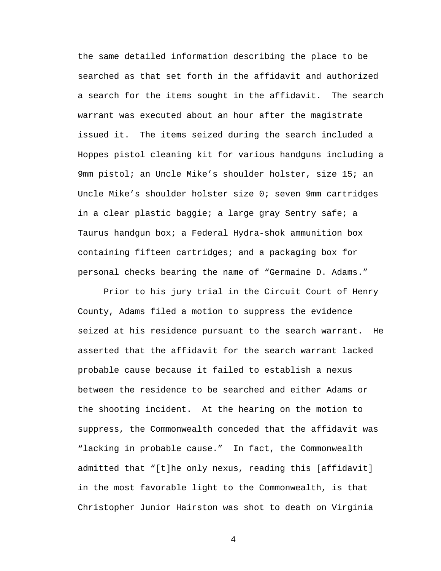the same detailed information describing the place to be searched as that set forth in the affidavit and authorized a search for the items sought in the affidavit. The search warrant was executed about an hour after the magistrate issued it. The items seized during the search included a Hoppes pistol cleaning kit for various handguns including a 9mm pistol; an Uncle Mike's shoulder holster, size 15; an Uncle Mike's shoulder holster size 0; seven 9mm cartridges in a clear plastic baggie; a large gray Sentry safe; a Taurus handgun box; a Federal Hydra-shok ammunition box containing fifteen cartridges; and a packaging box for personal checks bearing the name of "Germaine D. Adams."

 Prior to his jury trial in the Circuit Court of Henry County, Adams filed a motion to suppress the evidence seized at his residence pursuant to the search warrant. He asserted that the affidavit for the search warrant lacked probable cause because it failed to establish a nexus between the residence to be searched and either Adams or the shooting incident. At the hearing on the motion to suppress, the Commonwealth conceded that the affidavit was "lacking in probable cause." In fact, the Commonwealth admitted that "[t]he only nexus, reading this [affidavit] in the most favorable light to the Commonwealth, is that Christopher Junior Hairston was shot to death on Virginia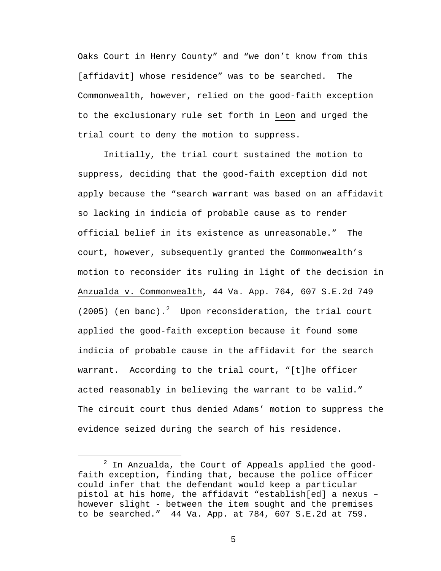Oaks Court in Henry County" and "we don't know from this [affidavit] whose residence" was to be searched. The Commonwealth, however, relied on the good-faith exception to the exclusionary rule set forth in Leon and urged the trial court to deny the motion to suppress.

Initially, the trial court sustained the motion to suppress, deciding that the good-faith exception did not apply because the "search warrant was based on an affidavit so lacking in indicia of probable cause as to render official belief in its existence as unreasonable." The court, however, subsequently granted the Commonwealth's motion to reconsider its ruling in light of the decision in Anzualda v. Commonwealth, 44 Va. App. 764, 607 S.E.2d 749 ([2](#page-4-0)005) (en banc).<sup>2</sup> Upon reconsideration, the trial court applied the good-faith exception because it found some indicia of probable cause in the affidavit for the search warrant. According to the trial court, "[t]he officer acted reasonably in believing the warrant to be valid." The circuit court thus denied Adams' motion to suppress the evidence seized during the search of his residence.

<span id="page-4-0"></span> <sup>2</sup>  $2$  In Anzualda, the Court of Appeals applied the goodfaith exception, finding that, because the police officer could infer that the defendant would keep a particular pistol at his home, the affidavit "establish[ed] a nexus – however slight - between the item sought and the premises to be searched." 44 Va. App. at 784, 607 S.E.2d at 759.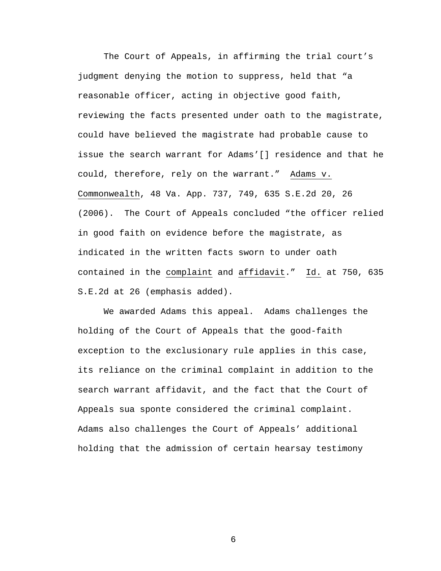The Court of Appeals, in affirming the trial court's judgment denying the motion to suppress, held that "a reasonable officer, acting in objective good faith, reviewing the facts presented under oath to the magistrate, could have believed the magistrate had probable cause to issue the search warrant for Adams'[] residence and that he could, therefore, rely on the warrant." Adams v. Commonwealth, 48 Va. App. 737, 749, 635 S.E.2d 20, 26 (2006). The Court of Appeals concluded "the officer relied in good faith on evidence before the magistrate, as indicated in the written facts sworn to under oath contained in the complaint and affidavit." Id. at 750, 635 S.E.2d at 26 (emphasis added).

We awarded Adams this appeal. Adams challenges the holding of the Court of Appeals that the good-faith exception to the exclusionary rule applies in this case, its reliance on the criminal complaint in addition to the search warrant affidavit, and the fact that the Court of Appeals sua sponte considered the criminal complaint. Adams also challenges the Court of Appeals' additional holding that the admission of certain hearsay testimony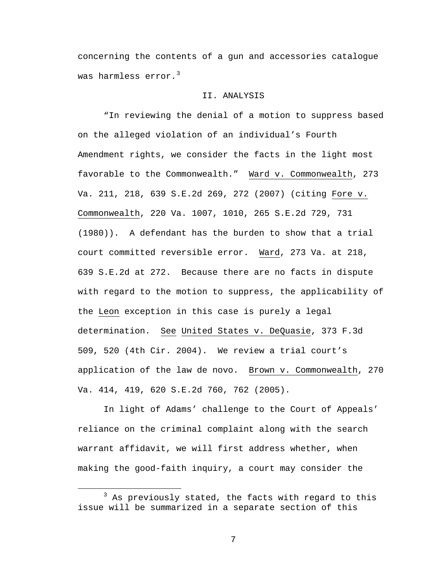concerning the contents of a gun and accessories catalogue was harmless error. $3$ 

## II. ANALYSIS

"In reviewing the denial of a motion to suppress based on the alleged violation of an individual's Fourth Amendment rights, we consider the facts in the light most favorable to the Commonwealth." Ward v. Commonwealth, 273 Va. 211, 218, 639 S.E.2d 269, 272 (2007) (citing Fore v. Commonwealth, 220 Va. 1007, 1010, 265 S.E.2d 729, 731 (1980)). A defendant has the burden to show that a trial court committed reversible error. Ward, 273 Va. at 218, 639 S.E.2d at 272. Because there are no facts in dispute with regard to the motion to suppress, the applicability of the Leon exception in this case is purely a legal determination. See United States v. DeQuasie, 373 F.3d 509, 520 (4th Cir. 2004). We review a trial court's application of the law de novo. Brown v. Commonwealth, 270 Va. 414, 419, 620 S.E.2d 760, 762 (2005).

In light of Adams' challenge to the Court of Appeals' reliance on the criminal complaint along with the search warrant affidavit, we will first address whether, when making the good-faith inquiry, a court may consider the

<span id="page-6-0"></span> $\overline{\phantom{a}}$  3  $3$  As previously stated, the facts with regard to this issue will be summarized in a separate section of this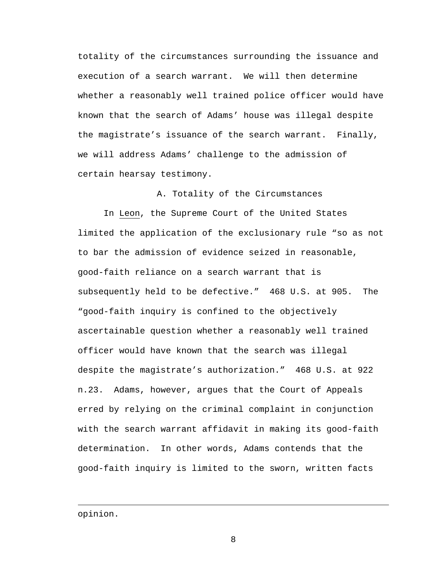totality of the circumstances surrounding the issuance and execution of a search warrant. We will then determine whether a reasonably well trained police officer would have known that the search of Adams' house was illegal despite the magistrate's issuance of the search warrant. Finally, we will address Adams' challenge to the admission of certain hearsay testimony.

A. Totality of the Circumstances

In Leon, the Supreme Court of the United States limited the application of the exclusionary rule "so as not to bar the admission of evidence seized in reasonable, good-faith reliance on a search warrant that is subsequently held to be defective." 468 U.S. at 905. The "good-faith inquiry is confined to the objectively ascertainable question whether a reasonably well trained officer would have known that the search was illegal despite the magistrate's authorization." 468 U.S. at 922 n.23. Adams, however, argues that the Court of Appeals erred by relying on the criminal complaint in conjunction with the search warrant affidavit in making its good-faith determination. In other words, Adams contends that the good-faith inquiry is limited to the sworn, written facts

opinion.

i<br>Li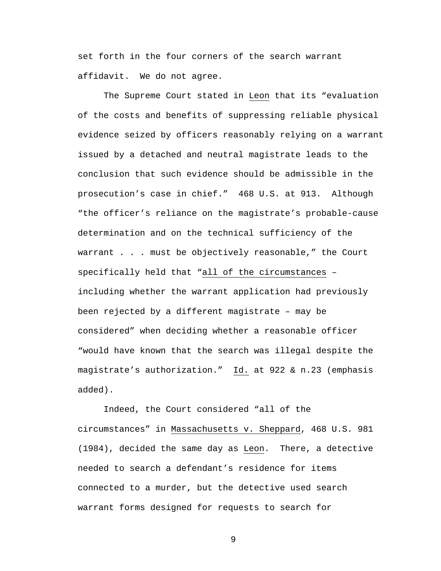set forth in the four corners of the search warrant affidavit. We do not agree.

The Supreme Court stated in Leon that its "evaluation of the costs and benefits of suppressing reliable physical evidence seized by officers reasonably relying on a warrant issued by a detached and neutral magistrate leads to the conclusion that such evidence should be admissible in the prosecution's case in chief." 468 U.S. at 913. Although "the officer's reliance on the magistrate's probable-cause determination and on the technical sufficiency of the warrant . . . must be objectively reasonable," the Court specifically held that "all of the circumstances – including whether the warrant application had previously been rejected by a different magistrate – may be considered" when deciding whether a reasonable officer "would have known that the search was illegal despite the magistrate's authorization." Id. at 922 & n.23 (emphasis added).

Indeed, the Court considered "all of the circumstances" in Massachusetts v. Sheppard, 468 U.S. 981 (1984), decided the same day as Leon. There, a detective needed to search a defendant's residence for items connected to a murder, but the detective used search warrant forms designed for requests to search for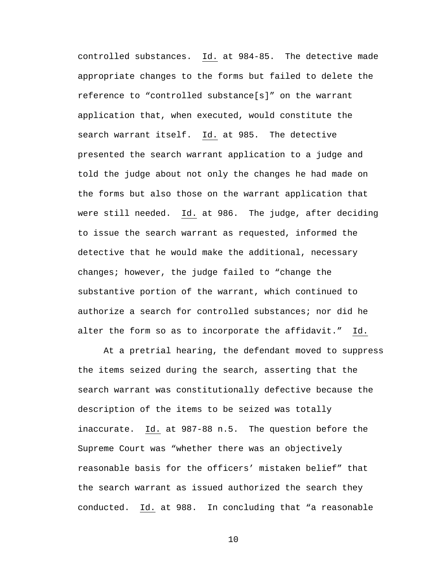controlled substances. Id. at 984-85. The detective made appropriate changes to the forms but failed to delete the reference to "controlled substance[s]" on the warrant application that, when executed, would constitute the search warrant itself. Id. at 985. The detective presented the search warrant application to a judge and told the judge about not only the changes he had made on the forms but also those on the warrant application that were still needed. Id. at 986. The judge, after deciding to issue the search warrant as requested, informed the detective that he would make the additional, necessary changes; however, the judge failed to "change the substantive portion of the warrant, which continued to authorize a search for controlled substances; nor did he alter the form so as to incorporate the affidavit." Id.

At a pretrial hearing, the defendant moved to suppress the items seized during the search, asserting that the search warrant was constitutionally defective because the description of the items to be seized was totally inaccurate. Id. at 987-88 n.5. The question before the Supreme Court was "whether there was an objectively reasonable basis for the officers' mistaken belief" that the search warrant as issued authorized the search they conducted. Id. at 988. In concluding that "a reasonable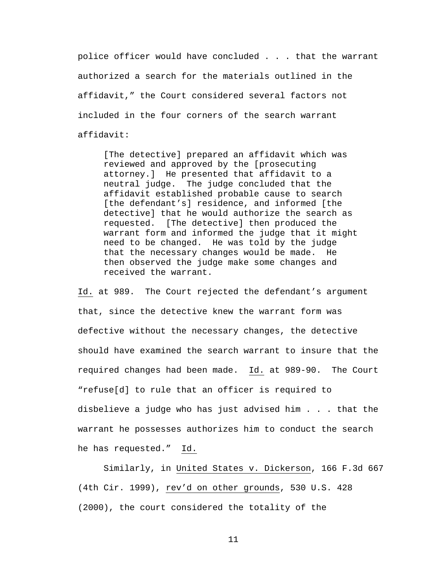police officer would have concluded . . . that the warrant authorized a search for the materials outlined in the affidavit," the Court considered several factors not included in the four corners of the search warrant affidavit:

[The detective] prepared an affidavit which was reviewed and approved by the [prosecuting attorney.] He presented that affidavit to a neutral judge. The judge concluded that the affidavit established probable cause to search [the defendant's] residence, and informed [the detective] that he would authorize the search as requested. [The detective] then produced the warrant form and informed the judge that it might need to be changed. He was told by the judge that the necessary changes would be made. He then observed the judge make some changes and received the warrant.

Id. at 989. The Court rejected the defendant's argument that, since the detective knew the warrant form was defective without the necessary changes, the detective should have examined the search warrant to insure that the required changes had been made. Id. at 989-90. The Court "refuse[d] to rule that an officer is required to disbelieve a judge who has just advised him . . . that the warrant he possesses authorizes him to conduct the search he has requested." Id.

 Similarly, in United States v. Dickerson, 166 F.3d 667 (4th Cir. 1999), rev'd on other grounds, 530 U.S. 428 (2000), the court considered the totality of the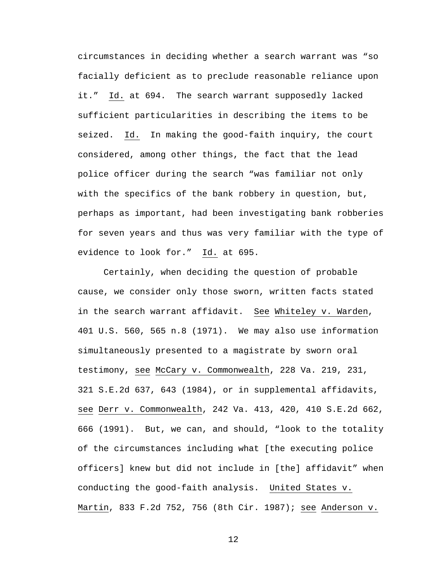circumstances in deciding whether a search warrant was "so facially deficient as to preclude reasonable reliance upon it." Id. at 694. The search warrant supposedly lacked sufficient particularities in describing the items to be seized. Id. In making the good-faith inquiry, the court considered, among other things, the fact that the lead police officer during the search "was familiar not only with the specifics of the bank robbery in question, but, perhaps as important, had been investigating bank robberies for seven years and thus was very familiar with the type of evidence to look for." Id. at 695.

 Certainly, when deciding the question of probable cause, we consider only those sworn, written facts stated in the search warrant affidavit. See Whiteley v. Warden, 401 U.S. 560, 565 n.8 (1971). We may also use information simultaneously presented to a magistrate by sworn oral testimony, see McCary v. Commonwealth, 228 Va. 219, 231, 321 S.E.2d 637, 643 (1984), or in supplemental affidavits, see Derr v. Commonwealth, 242 Va. 413, 420, 410 S.E.2d 662, 666 (1991). But, we can, and should, "look to the totality of the circumstances including what [the executing police officers] knew but did not include in [the] affidavit" when conducting the good-faith analysis. United States v. Martin, 833 F.2d 752, 756 (8th Cir. 1987); see Anderson v.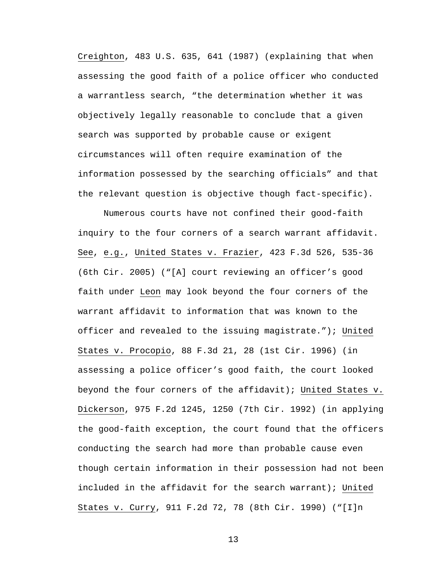Creighton, 483 U.S. 635, 641 (1987) (explaining that when assessing the good faith of a police officer who conducted a warrantless search, "the determination whether it was objectively legally reasonable to conclude that a given search was supported by probable cause or exigent circumstances will often require examination of the information possessed by the searching officials" and that the relevant question is objective though fact-specific).

Numerous courts have not confined their good-faith inquiry to the four corners of a search warrant affidavit. See, e.g., United States v. Frazier, 423 F.3d 526, 535-36 (6th Cir. 2005) ("[A] court reviewing an officer's good faith under Leon may look beyond the four corners of the warrant affidavit to information that was known to the officer and revealed to the issuing magistrate."); United States v. Procopio, 88 F.3d 21, 28 (1st Cir. 1996) (in assessing a police officer's good faith, the court looked beyond the four corners of the affidavit); United States v. Dickerson, 975 F.2d 1245, 1250 (7th Cir. 1992) (in applying the good-faith exception, the court found that the officers conducting the search had more than probable cause even though certain information in their possession had not been included in the affidavit for the search warrant); United States v. Curry, 911 F.2d 72, 78 (8th Cir. 1990) ("[I]n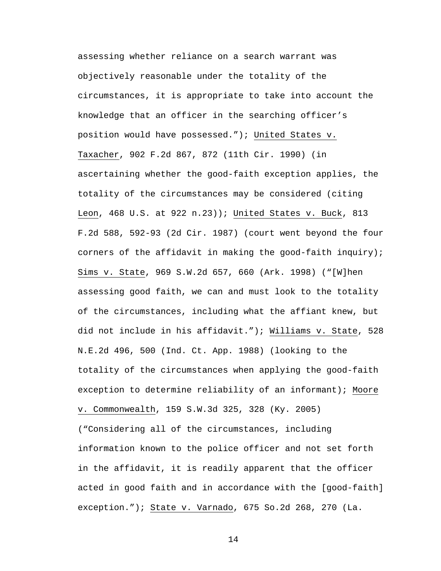assessing whether reliance on a search warrant was objectively reasonable under the totality of the circumstances, it is appropriate to take into account the knowledge that an officer in the searching officer's position would have possessed."); United States v. Taxacher, 902 F.2d 867, 872 (11th Cir. 1990) (in ascertaining whether the good-faith exception applies, the totality of the circumstances may be considered (citing Leon, 468 U.S. at 922 n.23)); United States v. Buck, 813 F.2d 588, 592-93 (2d Cir. 1987) (court went beyond the four corners of the affidavit in making the good-faith inquiry); Sims v. State, 969 S.W.2d 657, 660 (Ark. 1998) ("[W]hen assessing good faith, we can and must look to the totality of the circumstances, including what the affiant knew, but did not include in his affidavit."); Williams v. State, 528 N.E.2d 496, 500 (Ind. Ct. App. 1988) (looking to the totality of the circumstances when applying the good-faith exception to determine reliability of an informant); Moore v. Commonwealth, 159 S.W.3d 325, 328 (Ky. 2005) ("Considering all of the circumstances, including information known to the police officer and not set forth in the affidavit, it is readily apparent that the officer acted in good faith and in accordance with the [good-faith] exception."); State v. Varnado, 675 So.2d 268, 270 (La.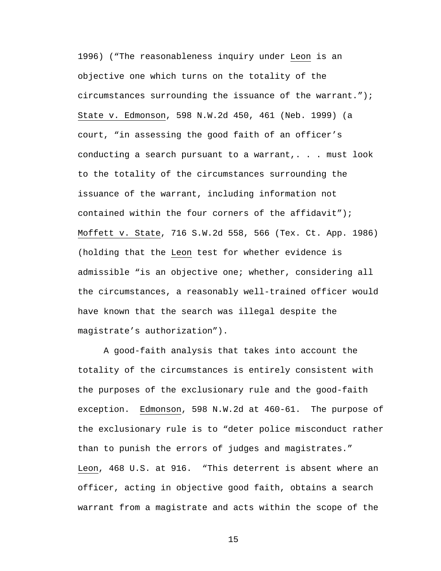1996) ("The reasonableness inquiry under Leon is an objective one which turns on the totality of the circumstances surrounding the issuance of the warrant."); State v. Edmonson, 598 N.W.2d 450, 461 (Neb. 1999) (a court, "in assessing the good faith of an officer's conducting a search pursuant to a warrant,. . . must look to the totality of the circumstances surrounding the issuance of the warrant, including information not contained within the four corners of the affidavit"); Moffett v. State, 716 S.W.2d 558, 566 (Tex. Ct. App. 1986) (holding that the Leon test for whether evidence is admissible "is an objective one; whether, considering all the circumstances, a reasonably well-trained officer would have known that the search was illegal despite the magistrate's authorization").

 A good-faith analysis that takes into account the totality of the circumstances is entirely consistent with the purposes of the exclusionary rule and the good-faith exception. Edmonson, 598 N.W.2d at 460-61. The purpose of the exclusionary rule is to "deter police misconduct rather than to punish the errors of judges and magistrates." Leon, 468 U.S. at 916. "This deterrent is absent where an officer, acting in objective good faith, obtains a search warrant from a magistrate and acts within the scope of the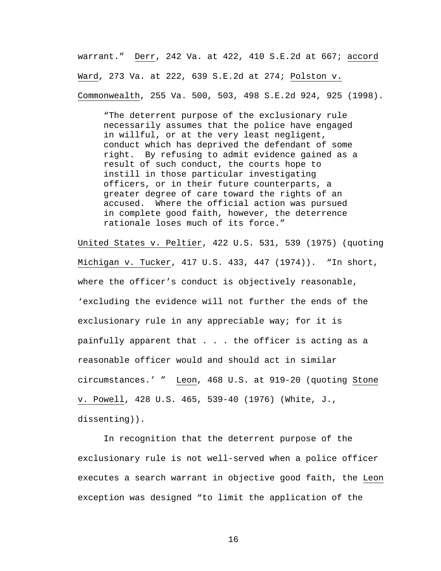warrant." Derr, 242 Va. at 422, 410 S.E.2d at 667; accord Ward, 273 Va. at 222, 639 S.E.2d at 274; Polston v. Commonwealth, 255 Va. 500, 503, 498 S.E.2d 924, 925 (1998).

"The deterrent purpose of the exclusionary rule necessarily assumes that the police have engaged in willful, or at the very least negligent, conduct which has deprived the defendant of some right. By refusing to admit evidence gained as a result of such conduct, the courts hope to instill in those particular investigating officers, or in their future counterparts, a greater degree of care toward the rights of an accused. Where the official action was pursued in complete good faith, however, the deterrence rationale loses much of its force."

United States v. Peltier, 422 U.S. 531, 539 (1975) (quoting Michigan v. Tucker, 417 U.S. 433, 447 (1974)). "In short, where the officer's conduct is objectively reasonable, 'excluding the evidence will not further the ends of the exclusionary rule in any appreciable way; for it is painfully apparent that . . . the officer is acting as a reasonable officer would and should act in similar circumstances.' " Leon, 468 U.S. at 919-20 (quoting Stone v. Powell, 428 U.S. 465, 539-40 (1976) (White, J., dissenting)).

In recognition that the deterrent purpose of the exclusionary rule is not well-served when a police officer executes a search warrant in objective good faith, the Leon exception was designed "to limit the application of the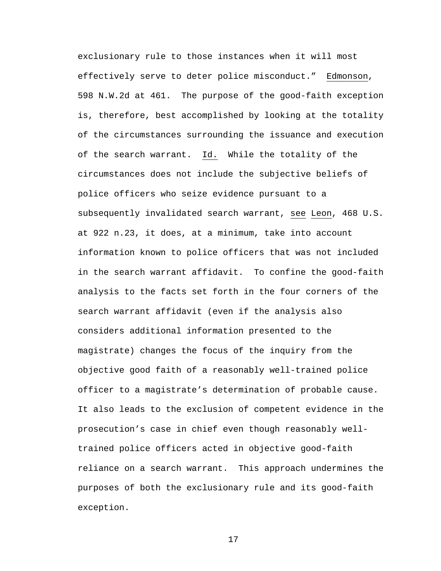exclusionary rule to those instances when it will most effectively serve to deter police misconduct." Edmonson, 598 N.W.2d at 461. The purpose of the good-faith exception is, therefore, best accomplished by looking at the totality of the circumstances surrounding the issuance and execution of the search warrant. Id.While the totality of the circumstances does not include the subjective beliefs of police officers who seize evidence pursuant to a subsequently invalidated search warrant, see Leon, 468 U.S. at 922 n.23, it does, at a minimum, take into account information known to police officers that was not included in the search warrant affidavit. To confine the good-faith analysis to the facts set forth in the four corners of the search warrant affidavit (even if the analysis also considers additional information presented to the magistrate) changes the focus of the inquiry from the objective good faith of a reasonably well-trained police officer to a magistrate's determination of probable cause. It also leads to the exclusion of competent evidence in the prosecution's case in chief even though reasonably welltrained police officers acted in objective good-faith reliance on a search warrant. This approach undermines the purposes of both the exclusionary rule and its good-faith exception.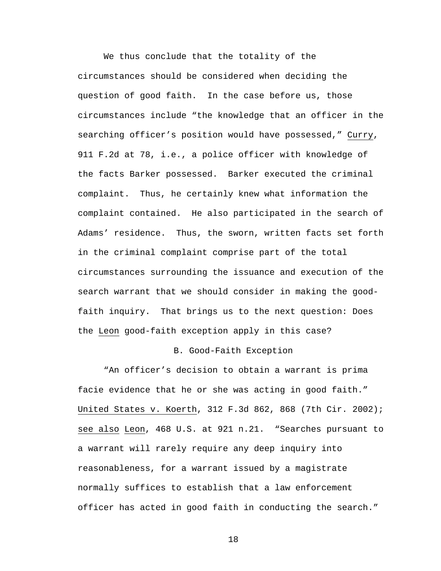We thus conclude that the totality of the circumstances should be considered when deciding the question of good faith. In the case before us, those circumstances include "the knowledge that an officer in the searching officer's position would have possessed," Curry, 911 F.2d at 78, i.e., a police officer with knowledge of the facts Barker possessed. Barker executed the criminal complaint. Thus, he certainly knew what information the complaint contained. He also participated in the search of Adams' residence. Thus, the sworn, written facts set forth in the criminal complaint comprise part of the total circumstances surrounding the issuance and execution of the search warrant that we should consider in making the goodfaith inquiry. That brings us to the next question: Does the Leon good-faith exception apply in this case?

#### B. Good-Faith Exception

"An officer's decision to obtain a warrant is prima facie evidence that he or she was acting in good faith." United States v. Koerth, 312 F.3d 862, 868 (7th Cir. 2002); see also Leon, 468 U.S. at 921 n.21. "Searches pursuant to a warrant will rarely require any deep inquiry into reasonableness, for a warrant issued by a magistrate normally suffices to establish that a law enforcement officer has acted in good faith in conducting the search."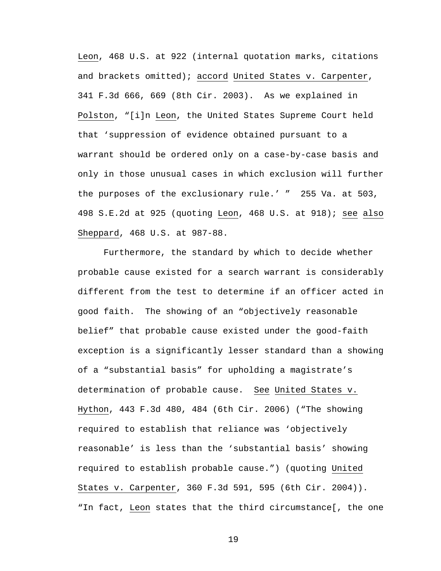Leon, 468 U.S. at 922 (internal quotation marks, citations and brackets omitted); accord United States v. Carpenter, 341 F.3d 666, 669 (8th Cir. 2003). As we explained in Polston, "[i]n Leon, the United States Supreme Court held that 'suppression of evidence obtained pursuant to a warrant should be ordered only on a case-by-case basis and only in those unusual cases in which exclusion will further the purposes of the exclusionary rule.' " 255 Va. at 503, 498 S.E.2d at 925 (quoting Leon, 468 U.S. at 918); see also Sheppard, 468 U.S. at 987-88.

Furthermore, the standard by which to decide whether probable cause existed for a search warrant is considerably different from the test to determine if an officer acted in good faith. The showing of an "objectively reasonable belief" that probable cause existed under the good-faith exception is a significantly lesser standard than a showing of a "substantial basis" for upholding a magistrate's determination of probable cause. See United States v. Hython, 443 F.3d 480, 484 (6th Cir. 2006) ("The showing required to establish that reliance was 'objectively reasonable' is less than the 'substantial basis' showing required to establish probable cause.") (quoting United States v. Carpenter, 360 F.3d 591, 595 (6th Cir. 2004)). "In fact, Leon states that the third circumstance[, the one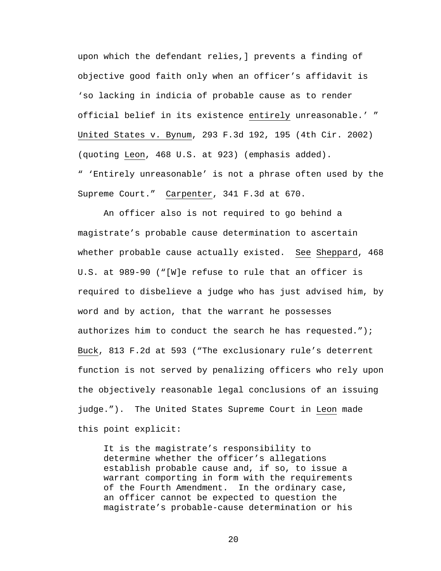upon which the defendant relies,] prevents a finding of objective good faith only when an officer's affidavit is 'so lacking in indicia of probable cause as to render official belief in its existence entirely unreasonable.' " United States v. Bynum, 293 F.3d 192, 195 (4th Cir. 2002) (quoting Leon, 468 U.S. at 923) (emphasis added). " 'Entirely unreasonable' is not a phrase often used by the Supreme Court." Carpenter, 341 F.3d at 670.

An officer also is not required to go behind a magistrate's probable cause determination to ascertain whether probable cause actually existed. See Sheppard, 468 U.S. at 989-90 ("[W]e refuse to rule that an officer is required to disbelieve a judge who has just advised him, by word and by action, that the warrant he possesses authorizes him to conduct the search he has requested."); Buck, 813 F.2d at 593 ("The exclusionary rule's deterrent function is not served by penalizing officers who rely upon the objectively reasonable legal conclusions of an issuing judge."). The United States Supreme Court in Leon made this point explicit:

It is the magistrate's responsibility to determine whether the officer's allegations establish probable cause and, if so, to issue a warrant comporting in form with the requirements of the Fourth Amendment. In the ordinary case, an officer cannot be expected to question the magistrate's probable-cause determination or his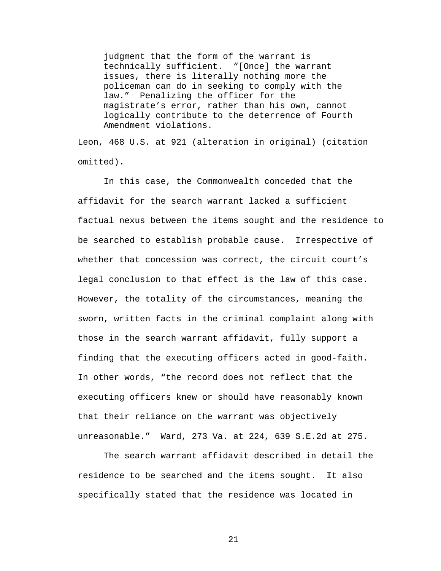judgment that the form of the warrant is technically sufficient. "[Once] the warrant issues, there is literally nothing more the policeman can do in seeking to comply with the law." Penalizing the officer for the magistrate's error, rather than his own, cannot logically contribute to the deterrence of Fourth Amendment violations.

Leon, 468 U.S. at 921 (alteration in original) (citation omitted).

In this case, the Commonwealth conceded that the affidavit for the search warrant lacked a sufficient factual nexus between the items sought and the residence to be searched to establish probable cause. Irrespective of whether that concession was correct, the circuit court's legal conclusion to that effect is the law of this case. However, the totality of the circumstances, meaning the sworn, written facts in the criminal complaint along with those in the search warrant affidavit, fully support a finding that the executing officers acted in good-faith. In other words, "the record does not reflect that the executing officers knew or should have reasonably known that their reliance on the warrant was objectively unreasonable." Ward, 273 Va. at 224, 639 S.E.2d at 275.

The search warrant affidavit described in detail the residence to be searched and the items sought. It also specifically stated that the residence was located in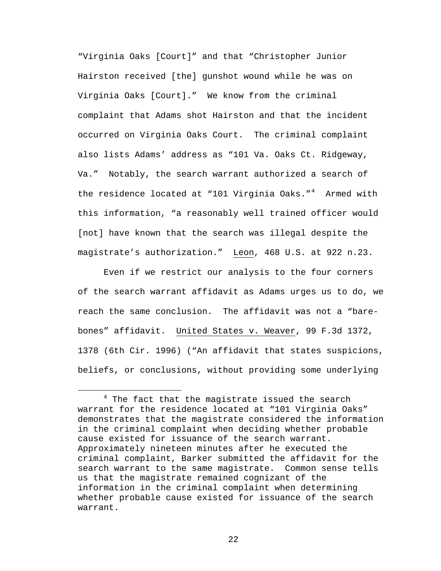"Virginia Oaks [Court]" and that "Christopher Junior Hairston received [the] gunshot wound while he was on Virginia Oaks [Court]." We know from the criminal complaint that Adams shot Hairston and that the incident occurred on Virginia Oaks Court. The criminal complaint also lists Adams' address as "101 Va. Oaks Ct. Ridgeway, Va." Notably, the search warrant authorized a search of the residence located at "101 Virginia Oaks."<sup>[4](#page-21-0)</sup> Armed with this information, "a reasonably well trained officer would [not] have known that the search was illegal despite the magistrate's authorization." Leon, 468 U.S. at 922 n.23.

Even if we restrict our analysis to the four corners of the search warrant affidavit as Adams urges us to do, we reach the same conclusion. The affidavit was not a "barebones" affidavit. United States v. Weaver, 99 F.3d 1372, 1378 (6th Cir. 1996) ("An affidavit that states suspicions, beliefs, or conclusions, without providing some underlying

<span id="page-21-0"></span> $\overline{\phantom{a}}$  $4$  The fact that the magistrate issued the search warrant for the residence located at "101 Virginia Oaks" demonstrates that the magistrate considered the information in the criminal complaint when deciding whether probable cause existed for issuance of the search warrant. Approximately nineteen minutes after he executed the criminal complaint, Barker submitted the affidavit for the search warrant to the same magistrate. Common sense tells us that the magistrate remained cognizant of the information in the criminal complaint when determining whether probable cause existed for issuance of the search warrant.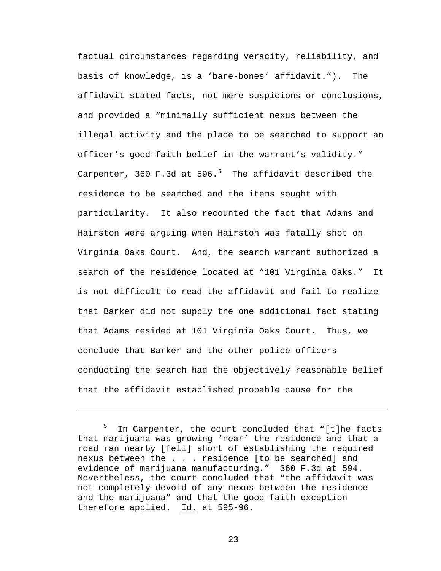factual circumstances regarding veracity, reliability, and basis of knowledge, is a 'bare-bones' affidavit."). The affidavit stated facts, not mere suspicions or conclusions, and provided a "minimally sufficient nexus between the illegal activity and the place to be searched to support an officer's good-faith belief in the warrant's validity." Carpenter, 360 F.3d at [5](#page-22-0)96.<sup>5</sup> The affidavit described the residence to be searched and the items sought with particularity. It also recounted the fact that Adams and Hairston were arguing when Hairston was fatally shot on Virginia Oaks Court. And, the search warrant authorized a search of the residence located at "101 Virginia Oaks." It is not difficult to read the affidavit and fail to realize that Barker did not supply the one additional fact stating that Adams resided at 101 Virginia Oaks Court. Thus, we conclude that Barker and the other police officers conducting the search had the objectively reasonable belief that the affidavit established probable cause for the

i

<span id="page-22-0"></span><sup>5</sup> In Carpenter, the court concluded that "[t]he facts that marijuana was growing 'near' the residence and that a road ran nearby [fell] short of establishing the required nexus between the . . . residence [to be searched] and evidence of marijuana manufacturing." 360 F.3d at 594. Nevertheless, the court concluded that "the affidavit was not completely devoid of any nexus between the residence and the marijuana" and that the good-faith exception therefore applied. Id. at 595-96.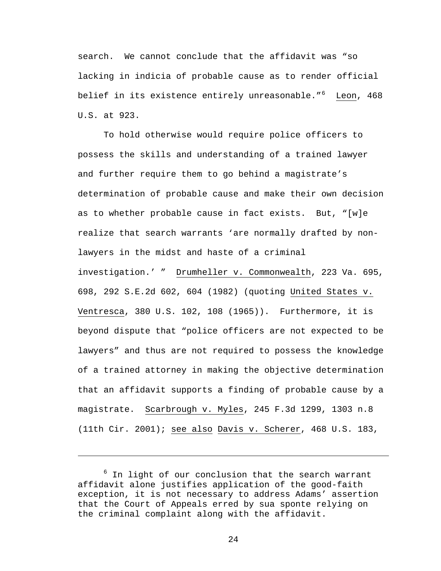search. We cannot conclude that the affidavit was "so lacking in indicia of probable cause as to render official belief in its existence entirely unreasonable."<sup>[6](#page-23-0)</sup> Leon, 468 U.S. at 923.

To hold otherwise would require police officers to possess the skills and understanding of a trained lawyer and further require them to go behind a magistrate's determination of probable cause and make their own decision as to whether probable cause in fact exists. But, "[w]e realize that search warrants 'are normally drafted by nonlawyers in the midst and haste of a criminal investigation.' " Drumheller v. Commonwealth, 223 Va. 695, 698, 292 S.E.2d 602, 604 (1982) (quoting United States v. Ventresca, 380 U.S. 102, 108 (1965)). Furthermore, it is beyond dispute that "police officers are not expected to be lawyers" and thus are not required to possess the knowledge of a trained attorney in making the objective determination that an affidavit supports a finding of probable cause by a magistrate. Scarbrough v. Myles, 245 F.3d 1299, 1303 n.8 (11th Cir. 2001); see also Davis v. Scherer, 468 U.S. 183,

i<br>Li

<span id="page-23-0"></span><sup>&</sup>lt;sup>6</sup> In light of our conclusion that the search warrant affidavit alone justifies application of the good-faith exception, it is not necessary to address Adams' assertion that the Court of Appeals erred by sua sponte relying on the criminal complaint along with the affidavit.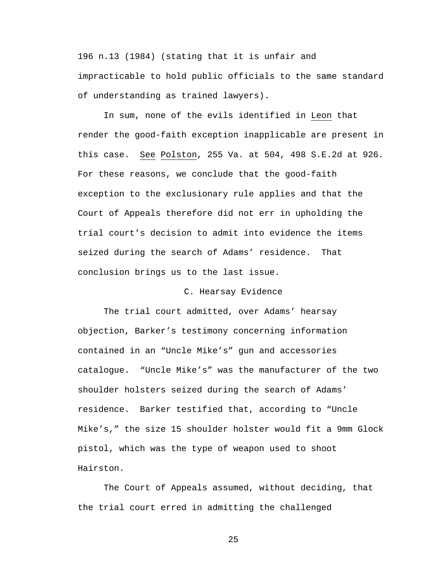196 n.13 (1984) (stating that it is unfair and impracticable to hold public officials to the same standard of understanding as trained lawyers).

In sum, none of the evils identified in Leon that render the good-faith exception inapplicable are present in this case. See Polston, 255 Va. at 504, 498 S.E.2d at 926. For these reasons, we conclude that the good-faith exception to the exclusionary rule applies and that the Court of Appeals therefore did not err in upholding the trial court's decision to admit into evidence the items seized during the search of Adams' residence. That conclusion brings us to the last issue.

## C. Hearsay Evidence

The trial court admitted, over Adams' hearsay objection, Barker's testimony concerning information contained in an "Uncle Mike's" gun and accessories catalogue. "Uncle Mike's" was the manufacturer of the two shoulder holsters seized during the search of Adams' residence. Barker testified that, according to "Uncle Mike's," the size 15 shoulder holster would fit a 9mm Glock pistol, which was the type of weapon used to shoot Hairston.

The Court of Appeals assumed, without deciding, that the trial court erred in admitting the challenged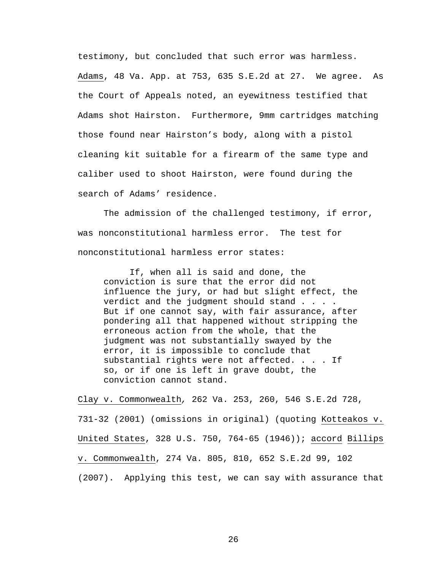testimony, but concluded that such error was harmless. Adams, 48 Va. App. at 753, 635 S.E.2d at 27. We agree. As the Court of Appeals noted, an eyewitness testified that Adams shot Hairston. Furthermore, 9mm cartridges matching those found near Hairston's body, along with a pistol cleaning kit suitable for a firearm of the same type and caliber used to shoot Hairston, were found during the search of Adams' residence.

The admission of the challenged testimony, if error, was nonconstitutional harmless error. The test for nonconstitutional harmless error states:

If, when all is said and done, the conviction is sure that the error did not influence the jury, or had but slight effect, the verdict and the judgment should stand . . . . But if one cannot say, with fair assurance, after pondering all that happened without stripping the erroneous action from the whole, that the judgment was not substantially swayed by the error, it is impossible to conclude that substantial rights were not affected. . . . If so, or if one is left in grave doubt, the conviction cannot stand.

Clay v. Commonwealth*,* 262 Va. 253, 260, 546 S.E.2d 728, 731-32 (2001) (omissions in original) (quoting Kotteakos v. United States, 328 U.S. 750, 764-65 (1946)); accord Billips v. Commonwealth, 274 Va. 805, 810, 652 S.E.2d 99, 102 (2007). Applying this test, we can say with assurance that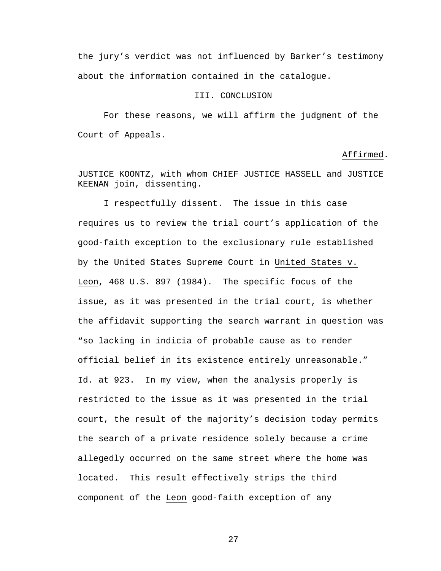the jury's verdict was not influenced by Barker's testimony about the information contained in the catalogue.

# III. CONCLUSION

 For these reasons, we will affirm the judgment of the Court of Appeals.

### Affirmed.

JUSTICE KOONTZ, with whom CHIEF JUSTICE HASSELL and JUSTICE KEENAN join, dissenting.

 I respectfully dissent. The issue in this case requires us to review the trial court's application of the good-faith exception to the exclusionary rule established by the United States Supreme Court in United States v. Leon, 468 U.S. 897 (1984). The specific focus of the issue, as it was presented in the trial court, is whether the affidavit supporting the search warrant in question was "so lacking in indicia of probable cause as to render official belief in its existence entirely unreasonable." Id. at 923. In my view, when the analysis properly is restricted to the issue as it was presented in the trial court, the result of the majority's decision today permits the search of a private residence solely because a crime allegedly occurred on the same street where the home was located. This result effectively strips the third component of the Leon good-faith exception of any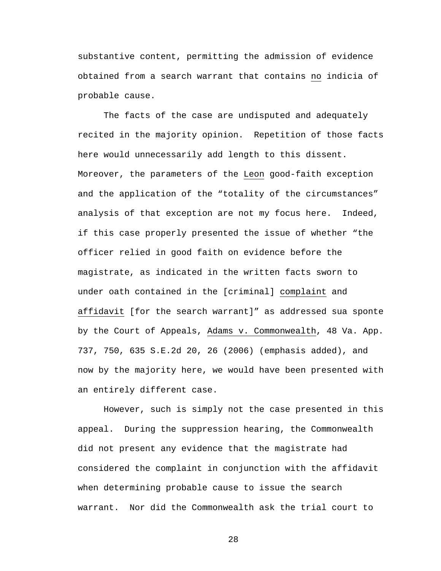substantive content, permitting the admission of evidence obtained from a search warrant that contains no indicia of probable cause.

 The facts of the case are undisputed and adequately recited in the majority opinion. Repetition of those facts here would unnecessarily add length to this dissent. Moreover, the parameters of the Leon good-faith exception and the application of the "totality of the circumstances" analysis of that exception are not my focus here. Indeed, if this case properly presented the issue of whether "the officer relied in good faith on evidence before the magistrate, as indicated in the written facts sworn to under oath contained in the [criminal] complaint and affidavit [for the search warrant]" as addressed sua sponte by the Court of Appeals, Adams v. Commonwealth, 48 Va. App. 737, 750, 635 S.E.2d 20, 26 (2006) (emphasis added), and now by the majority here, we would have been presented with an entirely different case.

However, such is simply not the case presented in this appeal. During the suppression hearing, the Commonwealth did not present any evidence that the magistrate had considered the complaint in conjunction with the affidavit when determining probable cause to issue the search warrant. Nor did the Commonwealth ask the trial court to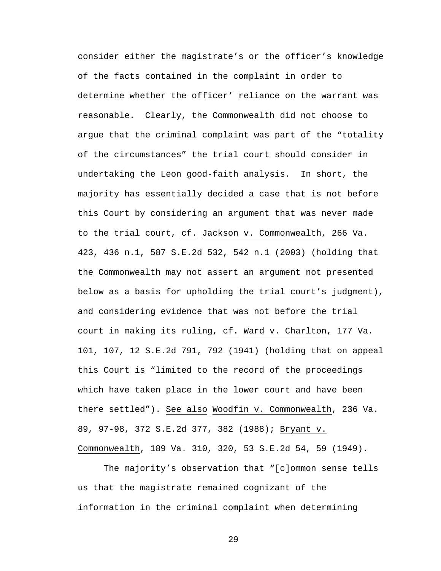consider either the magistrate's or the officer's knowledge of the facts contained in the complaint in order to determine whether the officer' reliance on the warrant was reasonable. Clearly, the Commonwealth did not choose to argue that the criminal complaint was part of the "totality of the circumstances" the trial court should consider in undertaking the Leon good-faith analysis. In short, the majority has essentially decided a case that is not before this Court by considering an argument that was never made to the trial court, cf. Jackson v. Commonwealth, 266 Va. 423, 436 n.1, 587 S.E.2d 532, 542 n.1 (2003) (holding that the Commonwealth may not assert an argument not presented below as a basis for upholding the trial court's judgment), and considering evidence that was not before the trial court in making its ruling, cf. Ward v. Charlton, 177 Va. 101, 107, 12 S.E.2d 791, 792 (1941) (holding that on appeal this Court is "limited to the record of the proceedings which have taken place in the lower court and have been there settled"). See also Woodfin v. Commonwealth, 236 Va. 89, 97-98, 372 S.E.2d 377, 382 (1988); Bryant v. Commonwealth, 189 Va. 310, 320, 53 S.E.2d 54, 59 (1949).

The majority's observation that "[c]ommon sense tells us that the magistrate remained cognizant of the information in the criminal complaint when determining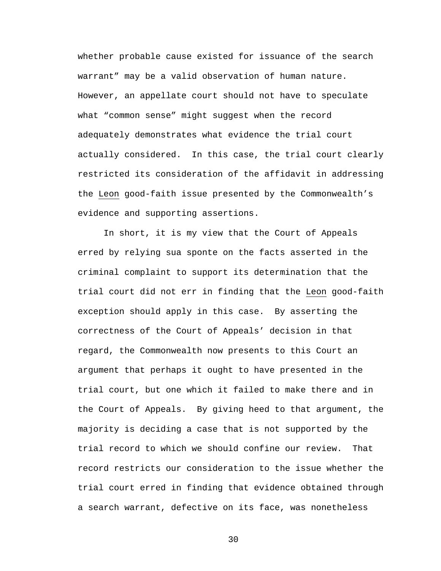whether probable cause existed for issuance of the search warrant" may be a valid observation of human nature. However, an appellate court should not have to speculate what "common sense" might suggest when the record adequately demonstrates what evidence the trial court actually considered. In this case, the trial court clearly restricted its consideration of the affidavit in addressing the Leon good-faith issue presented by the Commonwealth's evidence and supporting assertions.

In short, it is my view that the Court of Appeals erred by relying sua sponte on the facts asserted in the criminal complaint to support its determination that the trial court did not err in finding that the Leon good-faith exception should apply in this case. By asserting the correctness of the Court of Appeals' decision in that regard, the Commonwealth now presents to this Court an argument that perhaps it ought to have presented in the trial court, but one which it failed to make there and in the Court of Appeals. By giving heed to that argument, the majority is deciding a case that is not supported by the trial record to which we should confine our review. That record restricts our consideration to the issue whether the trial court erred in finding that evidence obtained through a search warrant, defective on its face, was nonetheless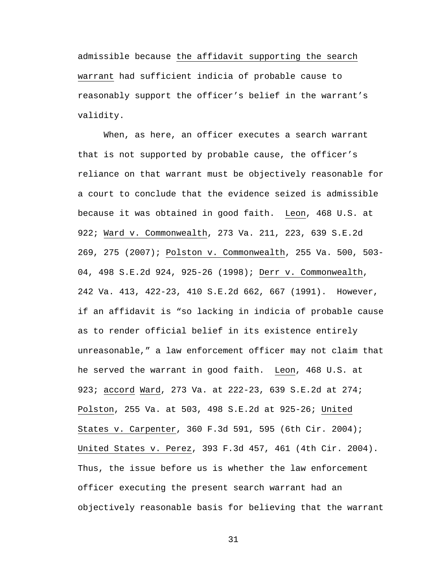admissible because the affidavit supporting the search warrant had sufficient indicia of probable cause to reasonably support the officer's belief in the warrant's validity.

 When, as here, an officer executes a search warrant that is not supported by probable cause, the officer's reliance on that warrant must be objectively reasonable for a court to conclude that the evidence seized is admissible because it was obtained in good faith. Leon, 468 U.S. at 922; Ward v. Commonwealth, 273 Va. 211, 223, 639 S.E.2d 269, 275 (2007); Polston v. Commonwealth, 255 Va. 500, 503- 04, 498 S.E.2d 924, 925-26 (1998); Derr v. Commonwealth, 242 Va. 413, 422-23, 410 S.E.2d 662, 667 (1991). However, if an affidavit is "so lacking in indicia of probable cause as to render official belief in its existence entirely unreasonable," a law enforcement officer may not claim that he served the warrant in good faith. Leon, 468 U.S. at 923; accord Ward, 273 Va. at 222-23, 639 S.E.2d at 274; Polston, 255 Va. at 503, 498 S.E.2d at 925-26; United States v. Carpenter, 360 F.3d 591, 595 (6th Cir. 2004); United States v. Perez, 393 F.3d 457, 461 (4th Cir. 2004). Thus, the issue before us is whether the law enforcement officer executing the present search warrant had an objectively reasonable basis for believing that the warrant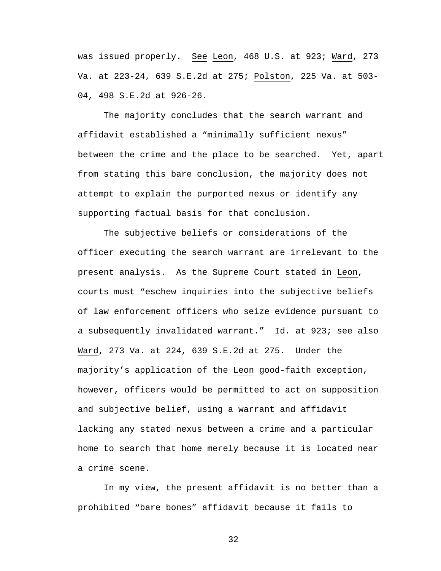was issued properly. See Leon, 468 U.S. at 923; Ward, 273 Va. at 223-24, 639 S.E.2d at 275; Polston, 225 Va. at 503- 04, 498 S.E.2d at 926-26.

The majority concludes that the search warrant and affidavit established a "minimally sufficient nexus" between the crime and the place to be searched. Yet, apart from stating this bare conclusion, the majority does not attempt to explain the purported nexus or identify any supporting factual basis for that conclusion.

The subjective beliefs or considerations of the officer executing the search warrant are irrelevant to the present analysis. As the Supreme Court stated in Leon, courts must "eschew inquiries into the subjective beliefs of law enforcement officers who seize evidence pursuant to a subsequently invalidated warrant." Id. at 923; see also Ward, 273 Va. at 224, 639 S.E.2d at 275. Under the majority's application of the Leon good-faith exception, however, officers would be permitted to act on supposition and subjective belief, using a warrant and affidavit lacking any stated nexus between a crime and a particular home to search that home merely because it is located near a crime scene.

In my view, the present affidavit is no better than a prohibited "bare bones" affidavit because it fails to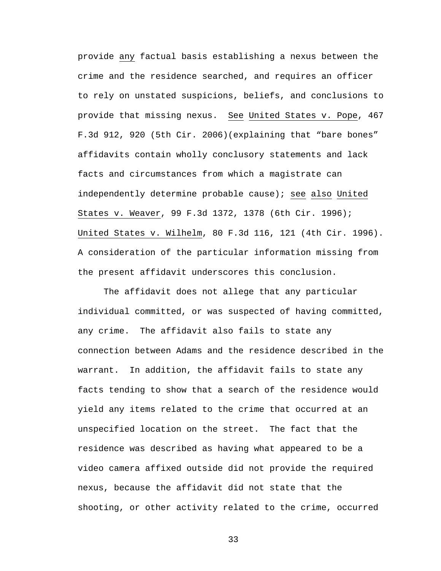provide any factual basis establishing a nexus between the crime and the residence searched, and requires an officer to rely on unstated suspicions, beliefs, and conclusions to provide that missing nexus. See United States v. Pope, 467 F.3d 912, 920 (5th Cir. 2006)(explaining that "bare bones" affidavits contain wholly conclusory statements and lack facts and circumstances from which a magistrate can independently determine probable cause); see also United States v. Weaver, 99 F.3d 1372, 1378 (6th Cir. 1996); United States v. Wilhelm, 80 F.3d 116, 121 (4th Cir. 1996). A consideration of the particular information missing from the present affidavit underscores this conclusion.

The affidavit does not allege that any particular individual committed, or was suspected of having committed, any crime. The affidavit also fails to state any connection between Adams and the residence described in the warrant. In addition, the affidavit fails to state any facts tending to show that a search of the residence would yield any items related to the crime that occurred at an unspecified location on the street. The fact that the residence was described as having what appeared to be a video camera affixed outside did not provide the required nexus, because the affidavit did not state that the shooting, or other activity related to the crime, occurred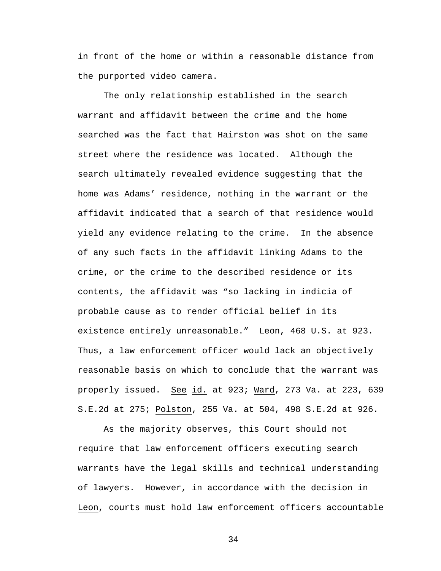in front of the home or within a reasonable distance from the purported video camera.

The only relationship established in the search warrant and affidavit between the crime and the home searched was the fact that Hairston was shot on the same street where the residence was located. Although the search ultimately revealed evidence suggesting that the home was Adams' residence, nothing in the warrant or the affidavit indicated that a search of that residence would yield any evidence relating to the crime. In the absence of any such facts in the affidavit linking Adams to the crime, or the crime to the described residence or its contents, the affidavit was "so lacking in indicia of probable cause as to render official belief in its existence entirely unreasonable." Leon, 468 U.S. at 923. Thus, a law enforcement officer would lack an objectively reasonable basis on which to conclude that the warrant was properly issued. See id. at 923; Ward, 273 Va. at 223, 639 S.E.2d at 275; Polston, 255 Va. at 504, 498 S.E.2d at 926.

As the majority observes, this Court should not require that law enforcement officers executing search warrants have the legal skills and technical understanding of lawyers. However, in accordance with the decision in Leon, courts must hold law enforcement officers accountable